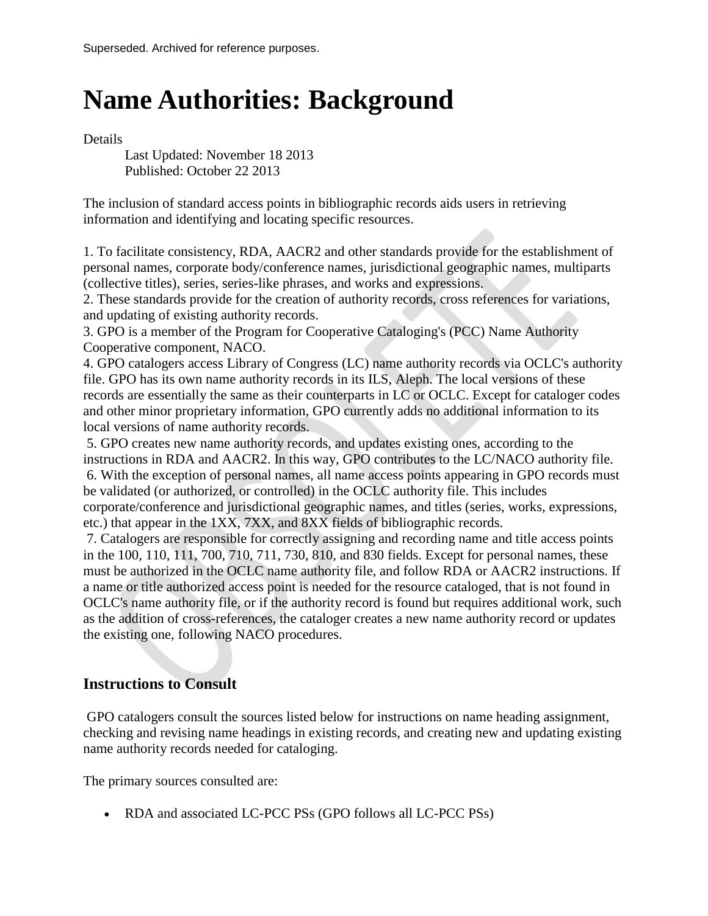## **Name Authorities: Background**

Details

Last Updated: November 18 2013 Published: October 22 2013

The inclusion of standard access points in bibliographic records aids users in retrieving information and identifying and locating specific resources.

1. To facilitate consistency, RDA, AACR2 and other standards provide for the establishment of personal names, corporate body/conference names, jurisdictional geographic names, multiparts (collective titles), series, series-like phrases, and works and expressions.

2. These standards provide for the creation of authority records, cross references for variations, and updating of existing authority records.

3. GPO is a member of the Program for Cooperative Cataloging's (PCC) Name Authority Cooperative component, NACO.

4. GPO catalogers access Library of Congress (LC) name authority records via OCLC's authority file. GPO has its own name authority records in its ILS, Aleph. The local versions of these records are essentially the same as their counterparts in LC or OCLC. Except for cataloger codes and other minor proprietary information, GPO currently adds no additional information to its local versions of name authority records.

5. GPO creates new name authority records, and updates existing ones, according to the instructions in RDA and AACR2. In this way, GPO contributes to the LC/NACO authority file. 6. With the exception of personal names, all name access points appearing in GPO records must be validated (or authorized, or controlled) in the OCLC authority file. This includes corporate/conference and jurisdictional geographic names, and titles (series, works, expressions, etc.) that appear in the 1XX, 7XX, and 8XX fields of bibliographic records.

7. Catalogers are responsible for correctly assigning and recording name and title access points in the 100, 110, 111, 700, 710, 711, 730, 810, and 830 fields. Except for personal names, these must be authorized in the OCLC name authority file, and follow RDA or AACR2 instructions. If a name or title authorized access point is needed for the resource cataloged, that is not found in OCLC's name authority file, or if the authority record is found but requires additional work, such as the addition of cross-references, the cataloger creates a new name authority record or updates the existing one, following NACO procedures.

## **Instructions to Consult**

GPO catalogers consult the sources listed below for instructions on name heading assignment, checking and revising name headings in existing records, and creating new and updating existing name authority records needed for cataloging.

The primary sources consulted are:

• RDA and associated LC-PCC PSs (GPO follows all LC-PCC PSs)